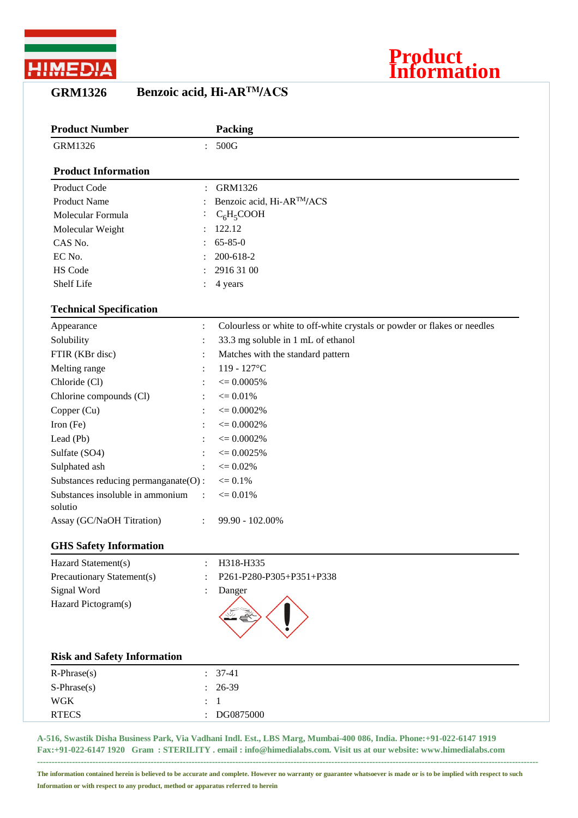

## **GRM1326 Benzoic acid, Hi-ARTM/ACS**

| <b>Product Number</b>                       |                      | Packing                                                                  |
|---------------------------------------------|----------------------|--------------------------------------------------------------------------|
| GRM1326                                     |                      | 500G                                                                     |
| <b>Product Information</b>                  |                      |                                                                          |
| Product Code                                |                      | <b>GRM1326</b>                                                           |
| <b>Product Name</b>                         |                      | Benzoic acid, Hi-ARTM/ACS                                                |
| Molecular Formula                           |                      | $C_6H_5COOH$                                                             |
| Molecular Weight                            |                      | 122.12                                                                   |
| CAS No.                                     |                      | $65 - 85 - 0$                                                            |
| EC No.                                      |                      | 200-618-2                                                                |
| <b>HS Code</b>                              |                      | 2916 31 00                                                               |
| Shelf Life                                  |                      | 4 years                                                                  |
| <b>Technical Specification</b>              |                      |                                                                          |
| Appearance                                  | $\ddot{\cdot}$       | Colourless or white to off-white crystals or powder or flakes or needles |
| Solubility                                  | $\ddot{\cdot}$       | 33.3 mg soluble in 1 mL of ethanol                                       |
| FTIR (KBr disc)                             |                      | Matches with the standard pattern                                        |
| Melting range                               | $\ddot{\cdot}$       | 119 - 127°C                                                              |
| Chloride (Cl)                               |                      | $\epsilon = 0.0005\%$                                                    |
| Chlorine compounds (Cl)                     |                      | $\leq 0.01\%$                                                            |
| Copper (Cu)                                 |                      | $\epsilon = 0.0002\%$                                                    |
| Iron (Fe)                                   |                      | $\epsilon = 0.0002\%$                                                    |
| Lead (Pb)                                   |                      | $\epsilon = 0.0002\%$                                                    |
| Sulfate (SO4)                               |                      | $\epsilon = 0.0025\%$                                                    |
| Sulphated ash                               | $\ddot{\cdot}$       | $\epsilon = 0.02\%$                                                      |
| Substances reducing permanganate(O):        |                      | $\epsilon = 0.1\%$                                                       |
| Substances insoluble in ammonium<br>solutio | $\ddot{\phantom{a}}$ | $\epsilon = 0.01\%$                                                      |
| Assay (GC/NaOH Titration)                   |                      | 99.90 - 102.00%                                                          |
| <b>GHS Safety Information</b>               |                      |                                                                          |
| Hazard Statement(s)                         | $\ddot{\cdot}$       | H318-H335                                                                |

**Product**

**Information**

Precautionary Statement(s) : P261-P280-P305+P351+P338 Signal Word : Danger Hazard Pictogram(s)

| <b>Risk and Safety Information</b> |                        |
|------------------------------------|------------------------|
| $R$ -Phrase $(s)$                  | $\therefore$ 37-41     |
| $S-Phrase(s)$                      | $: 26-39$              |
| <b>WGK</b>                         | $\therefore$ 1         |
| <b>RTECS</b>                       | $\therefore$ DG0875000 |

**A-516, Swastik Disha Business Park, Via Vadhani Indl. Est., LBS Marg, Mumbai-400 086, India. Phone:+91-022-6147 1919 Fax:+91-022-6147 1920 Gram : STERILITY . email : info@himedialabs.com. Visit us at our website: www.himedialabs.com**

**---------------------------------------------------------------------------------------------------------------------------------------------------------------------------- The information contained herein is believed to be accurate and complete. However no warranty or guarantee whatsoever is made or is to be implied with respect to such Information or with respect to any product, method or apparatus referred to herein**